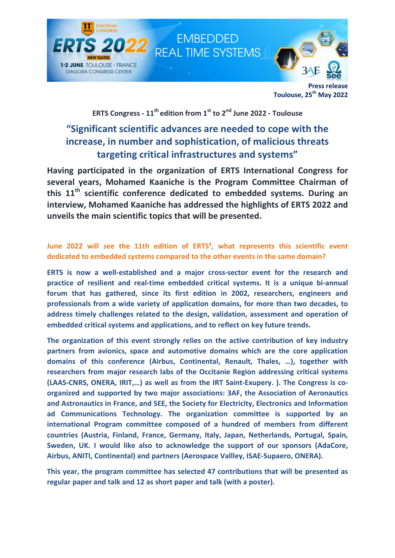

Press release Toulouse, 25<sup>th</sup> May 2022

## ERTS Congress -  $11^{th}$  edition from  $1^{st}$  to  $2^{nd}$  June 2022 - Toulouse

# "Significant scientific advances are needed to cope with the increase, in number and sophistication, of malicious threats targeting critical infrastructures and systems"

Having participated in the organization of ERTS International Congress for several years, Mohamed Kaaniche is the Program Committee Chairman of this  $11<sup>th</sup>$  scientific conference dedicated to embedded systems. During an interview, Mohamed Kaaniche has addressed the highlights of ERTS 2022 and unveils the main scientific topics that will be presented.

### June 2022 will see the 11th edition of ERTS<sup>2</sup>, what represents this scientific event dedicated to embedded systems compared to the other events in the same domain?

ERTS is now a well-established and a major cross-sector event for the research and practice of resilient and real-time embedded critical systems. It is a unique bi-annual forum that has gathered, since its first edition in 2002, researchers, engineers and professionals from a wide variety of application domains, for more than two decades, to address timely challenges related to the design, validation, assessment and operation of embedded critical systems and applications, and to reflect on key future trends.

The organization of this event strongly relies on the active contribution of key industry partners from avionics, space and automotive domains which are the core application domains of this conference (Airbus, Continental, Renault, Thales, …), together with researchers from major research labs of the Occitanie Region addressing critical systems (LAAS-CNRS, ONERA, IRIT,…) as well as from the IRT Saint-Exupery. ). The Congress is coorganized and supported by two major associations: 3AF, the Association of Aeronautics and Astronautics in France, and SEE, the Society for Electricity, Electronics and Information ad Communications Technology. The organization committee is supported by an international Program committee composed of a hundred of members from different countries (Austria, Finland, France, Germany, Italy, Japan, Netherlands, Portugal, Spain, Sweden, UK. I would like also to acknowledge the support of our sponsors (AdaCore, Airbus, ANITI, Continental) and partners (Aerospace Vallley, ISAE-Supaero, ONERA).

This year, the program committee has selected 47 contributions that will be presented as regular paper and talk and 12 as short paper and talk (with a poster).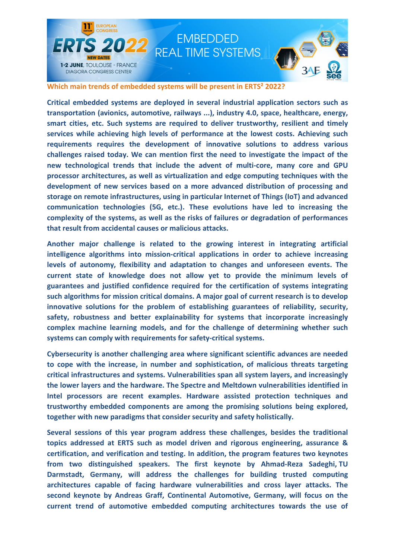

Which main trends of embedded systems will be present in ERTS<sup>2</sup> 2022?

Critical embedded systems are deployed in several industrial application sectors such as transportation (avionics, automotive, railways ...), industry 4.0, space, healthcare, energy, smart cities, etc. Such systems are required to deliver trustworthy, resilient and timely services while achieving high levels of performance at the lowest costs. Achieving such requirements requires the development of innovative solutions to address various challenges raised today. We can mention first the need to investigate the impact of the new technological trends that include the advent of multi-core, many core and GPU processor architectures, as well as virtualization and edge computing techniques with the development of new services based on a more advanced distribution of processing and storage on remote infrastructures, using in particular Internet of Things (IoT) and advanced communication technologies (5G, etc.). These evolutions have led to increasing the complexity of the systems, as well as the risks of failures or degradation of performances that result from accidental causes or malicious attacks.

Another major challenge is related to the growing interest in integrating artificial intelligence algorithms into mission-critical applications in order to achieve increasing levels of autonomy, flexibility and adaptation to changes and unforeseen events. The current state of knowledge does not allow yet to provide the minimum levels of guarantees and justified confidence required for the certification of systems integrating such algorithms for mission critical domains. A major goal of current research is to develop innovative solutions for the problem of establishing guarantees of reliability, security, safety, robustness and better explainability for systems that incorporate increasingly complex machine learning models, and for the challenge of determining whether such systems can comply with requirements for safety-critical systems.

Cybersecurity is another challenging area where significant scientific advances are needed to cope with the increase, in number and sophistication, of malicious threats targeting critical infrastructures and systems. Vulnerabilities span all system layers, and increasingly the lower layers and the hardware. The Spectre and Meltdown vulnerabilities identified in Intel processors are recent examples. Hardware assisted protection techniques and trustworthy embedded components are among the promising solutions being explored, together with new paradigms that consider security and safety holistically.

Several sessions of this year program address these challenges, besides the traditional topics addressed at ERTS such as model driven and rigorous engineering, assurance & certification, and verification and testing. In addition, the program features two keynotes from two distinguished speakers. The first keynote by Ahmad-Reza Sadeghi, TU Darmstadt, Germany, will address the challenges for building trusted computing architectures capable of facing hardware vulnerabilities and cross layer attacks. The second keynote by Andreas Graff, Continental Automotive, Germany, will focus on the current trend of automotive embedded computing architectures towards the use of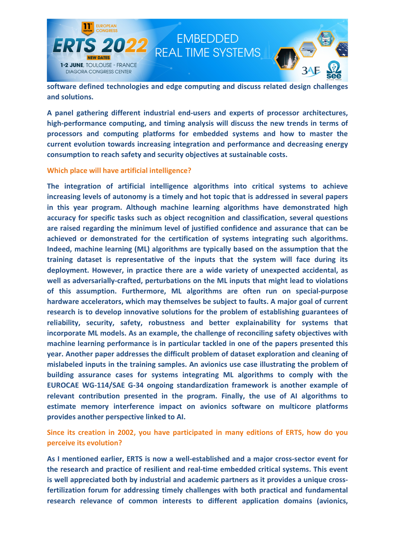

software defined technologies and edge computing and discuss related design challenges and solutions.

A panel gathering different industrial end-users and experts of processor architectures, high-performance computing, and timing analysis will discuss the new trends in terms of processors and computing platforms for embedded systems and how to master the current evolution towards increasing integration and performance and decreasing energy consumption to reach safety and security objectives at sustainable costs.

### Which place will have artificial intelligence?

The integration of artificial intelligence algorithms into critical systems to achieve increasing levels of autonomy is a timely and hot topic that is addressed in several papers in this year program. Although machine learning algorithms have demonstrated high accuracy for specific tasks such as object recognition and classification, several questions are raised regarding the minimum level of justified confidence and assurance that can be achieved or demonstrated for the certification of systems integrating such algorithms. Indeed, machine learning (ML) algorithms are typically based on the assumption that the training dataset is representative of the inputs that the system will face during its deployment. However, in practice there are a wide variety of unexpected accidental, as well as adversarially-crafted, perturbations on the ML inputs that might lead to violations of this assumption. Furthermore, ML algorithms are often run on special-purpose hardware accelerators, which may themselves be subject to faults. A major goal of current research is to develop innovative solutions for the problem of establishing guarantees of reliability, security, safety, robustness and better explainability for systems that incorporate ML models. As an example, the challenge of reconciling safety objectives with machine learning performance is in particular tackled in one of the papers presented this year. Another paper addresses the difficult problem of dataset exploration and cleaning of mislabeled inputs in the training samples. An avionics use case illustrating the problem of building assurance cases for systems integrating ML algorithms to comply with the EUROCAE WG-114/SAE G-34 ongoing standardization framework is another example of relevant contribution presented in the program. Finally, the use of AI algorithms to estimate memory interference impact on avionics software on multicore platforms provides another perspective linked to AI.

Since its creation in 2002, you have participated in many editions of ERTS, how do you perceive its evolution?

As I mentioned earlier, ERTS is now a well-established and a major cross-sector event for the research and practice of resilient and real-time embedded critical systems. This event is well appreciated both by industrial and academic partners as it provides a unique crossfertilization forum for addressing timely challenges with both practical and fundamental research relevance of common interests to different application domains (avionics,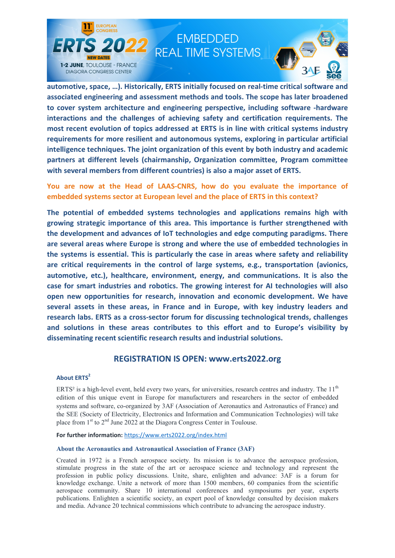

# **EMBEDDED REAL TIME SYSTEMS**



automotive, space, …). Historically, ERTS initially focused on real-time critical software and associated engineering and assessment methods and tools. The scope has later broadened to cover system architecture and engineering perspective, including software -hardware interactions and the challenges of achieving safety and certification requirements. The most recent evolution of topics addressed at ERTS is in line with critical systems industry requirements for more resilient and autonomous systems, exploring in particular artificial intelligence techniques. The joint organization of this event by both industry and academic partners at different levels (chairmanship, Organization committee, Program committee with several members from different countries) is also a major asset of ERTS.

You are now at the Head of LAAS-CNRS, how do you evaluate the importance of embedded systems sector at European level and the place of ERTS in this context?

The potential of embedded systems technologies and applications remains high with growing strategic importance of this area. This importance is further strengthened with the development and advances of IoT technologies and edge computing paradigms. There are several areas where Europe is strong and where the use of embedded technologies in the systems is essential. This is particularly the case in areas where safety and reliability are critical requirements in the control of large systems, e.g., transportation (avionics, automotive, etc.), healthcare, environment, energy, and communications. It is also the case for smart industries and robotics. The growing interest for AI technologies will also open new opportunities for research, innovation and economic development. We have several assets in these areas, in France and in Europe, with key industry leaders and research labs. ERTS as a cross-sector forum for discussing technological trends, challenges and solutions in these areas contributes to this effort and to Europe's visibility by disseminating recent scientific research results and industrial solutions.

### REGISTRATION IS OPEN: www.erts2022.org

### **About ERTS<sup>2</sup>**

ERTS<sup>2</sup> is a high-level event, held every two years, for universities, research centres and industry. The  $11<sup>th</sup>$ edition of this unique event in Europe for manufacturers and researchers in the sector of embedded systems and software, co-organized by 3AF (Association of Aeronautics and Astronautics of France) and the SEE (Society of Electricity, Electronics and Information and Communication Technologies) will take place from  $1<sup>st</sup>$  to  $2<sup>nd</sup>$  June 2022 at the Diagora Congress Center in Toulouse.

For further information: https://www.erts2022.org/index.html

#### About the Aeronautics and Astronautical Association of France (3AF)

Created in 1972 is a French aerospace society. Its mission is to advance the aerospace profession, stimulate progress in the state of the art or aerospace science and technology and represent the profession in public policy discussions. Unite, share, enlighten and advance: 3AF is a forum for knowledge exchange. Unite a network of more than 1500 members, 60 companies from the scientific aerospace community. Share 10 international conferences and symposiums per year, experts publications. Enlighten a scientific society, an expert pool of knowledge consulted by decision makers and media. Advance 20 technical commissions which contribute to advancing the aerospace industry.